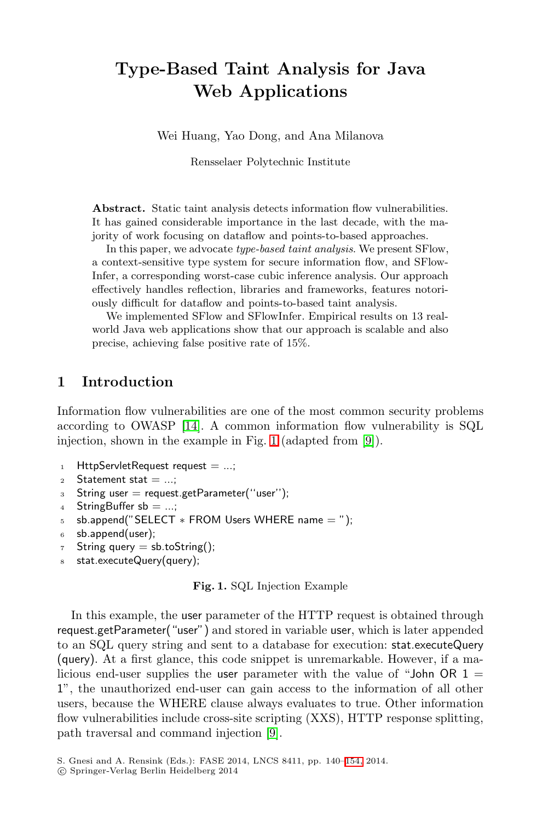# **Type-Based Taint Analysis for Java Web Applications**

Wei Huang, Yao Dong, and Ana Milanova

Rensselaer Polytechnic Institute

**Abstract.** Static taint analysis detects information flow vulnerabilities. It has gained considerable importance in the last decade, with the majority of work focusing on dataflow and points-to-based approaches.

In this paper, we advocate *type-based taint analysis*. We present SFlow, a context-sensitive type system for secure information flow, and SFlow-Infer, a corresponding worst-case cubic inference analysis. Our approach effectively handles reflection, libraries and frameworks, features notori[ou](#page-14-0)sly difficult for dataflow and points-to-based taint analysis.

<span id="page-0-0"></span>We implemented SFlow and SFlowInfer. Empirical results on 13 realworld Java web [ap](#page-0-0)plications show t[ha](#page-14-1)t our approach is scalable and also precise, achieving false positive rate of 15%.

# **1 Introduction**

Information flow vulnerabilities are one of the most common security problems according to OWASP [14]. A common information flow vulnerability is SQL injection, shown in the example in Fig. 1 (adapted from [9]).

- 1 HttpServletRequest request = ...;
- 2 Statement stat  $= ...;$
- 3 String user  $=$  request.getParameter("user");
- 4 StringBuffer  $sb = ...;$
- $5$  sb.append("SELECT  $*$  FROM Users WHERE name  $=$  ");
- <sup>6</sup> sb.append(user);
- String query  $=$  sb.toString();
- stat.executeQuery(query);

### **Fig. 1.** SQL Injection Example

In this example, th[e](#page-14-1) user parameter of the HTTP request is obtained through request.getParameter("user") and stored in variable user, which is later appended to an SQL query string and sent to [a d](#page-14-2)atabase for execution: stat.executeQuery (query). At a first glance, this code snippet is unremarkable. However, if a malicious end-user supplies the user parameter with the value of "John OR  $1 =$ 1", the unauthorized end-user can gain access to the information of all other users, because the WHERE clause always evaluates to true. Other information flow vulnerabilities include cross-site scripting (XXS), HTTP response splitting, path traversal and command injection [9].

S. Gnesi and A. Rensink (Eds.): FASE 2014, LNCS 8411, pp. 140–154, 2014.

<sup>-</sup>c Springer-Verlag Berlin Heidelberg 2014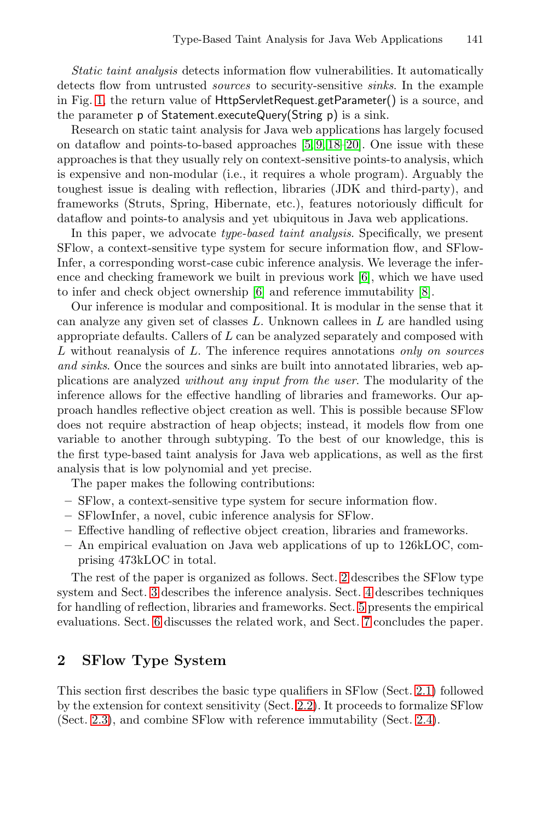*Static taint analysis* detects information flow vulnerabilities. It automatically detects flow from untrusted *sources* to security-sensitive *sinks*. In the example in Fig. 1, the return value of HttpServletRequest.getParameter() is a source, and the parameter p of Statement.executeQuery(String p) is a sink.

Research on static taint analysis for Java web applications has largely focused on dataflow and points-to-based approaches [5, 9, 18–20]. One issue with these approaches is that they usually rely on [co](#page-14-6)ntext-sensitive points-to analysis, which is expensive and n[on](#page-14-6)-modular (i.e., it requires a [wh](#page-14-7)ole program). Arguably the toughest issue is dealing with reflection, libraries (JDK and third-party), and frameworks (Struts, Spring, Hibernate, etc.), features notoriously difficult for dataflow and points-to analysis and yet ubiquitous in Java web applications.

In this paper, we advocate *type-based taint analysis*. Specifically, we present SFlow, a context-sensitive type system for secure information flow, and SFlow-Infer, a corresponding worst-case cubic inference analysis. We leverage the inference and checking framework we built in previous work [6], which we have used to infer and check object ownership [6] and reference immutability [8].

Our inference is modular and compositional. It is modular in the sense that it can analyze any given set of classes  $L$ . Unknown callees in  $L$  are handled using appropriate defaults. Callers of L can be analyzed separately and composed with L without reanalysis of L. The inference requires annotations *only on sources and sinks*. Once the sources and sinks are built into annotated libraries, web applications are analyzed *without any input from the user*. The modularity of the inference allows for the effective handling of libraries and frameworks. Our approach handles reflective object creation as well. This is possible because SFlow does not require abstraction of heap objects; instead, it models flow from one variable to another through subtyping. To the best of our knowledge, this is the first type-based taint analysis for Java web applications, as well as the first [a](#page-5-0)nalysis that is low polynomial an[d](#page-1-0) [y](#page-1-0)et precise.

<span id="page-1-0"></span>The paper makes the following cont[rib](#page-9-0)utions:

- **–** SFlow, a context-sensitive type sy[st](#page-10-0)em for secure information flow.
- **[–](#page-12-0)** SFlowInfer, a novel, cubic inferenc[e](#page-13-0) [a](#page-13-0)nalysis for SFlow.
- **–** Effective handling of reflective object creation, libraries and frameworks.
- **–** An empirical evaluation on Java web applications of up to 126kLOC, comprising 473kLOC in total.

The rest of the paper is organized as follows. S[ect.](#page-2-0) 2 describes the SFlow type system and Sect. 3 describ[es th](#page-2-1)e inference analysis. Sect. 4 describes techniques for handling of reflection, libraries and framework[s. Se](#page-5-1)ct. 5 presents the empirical evaluations. Sect. 6 discusses the related work, and Sect. 7 concludes the paper.

# **2 SFlow Type System**

This section first describes the basic type qualifiers in SFlow (Sect. 2.1) followed by the extension for context sensitivity (Sect. 2.2). It proceeds to formalize SFlow (Sect. 2.3), and combine SFlow with reference immutability (Sect. 2.4).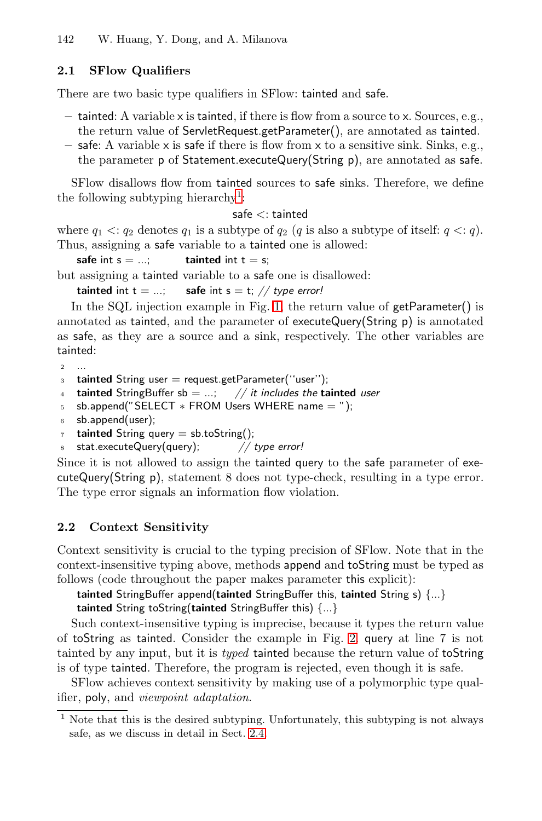### <span id="page-2-0"></span>**2.1 SFlow Qualifiers**

There are two basic type qualifiers in SFlow: tainted and safe.

- **–** tainted: A variable x is tainted, if there is flow from a source to x. Sources, e.g., the return value of ServletRequest.getParameter(), are annotated as tainted.
- **–** safe: A variable x is safe if there is flow from x to a sensitive sink. Sinks, e.g., the parameter p of Statement.executeQuery(String p), are annotated as safe.

SFlow disallows flow from tainted sources to safe sinks. Therefore, we define the followi[ng](#page-0-0) subtyping hierarchy<sup>1</sup>:

### safe <: tainted

where  $q_1 < q_2$  denotes  $q_1$  is a subtype of  $q_2$  (q is also a subtype of itself:  $q < q$ ). Thus, assigning a safe variable to a tainted one is allowed:

**safe** int  $s = ...$ ; **tainted** int  $t = s$ ;

but assigning a tainted variable to a safe one is disallowed:

**tainted** int  $t = ...$ ; **safe** int  $s = t$ ; // type error!

<span id="page-2-1"></span>In the SQL injection example in Fig. 1, the return value of getParameter() is annotated as tainted, and the parameter of executeQuery(String p) is annotated as safe, as they are a source and a sink, respectively. The other variables are tainted:

<sup>2</sup> ...

- <sup>3</sup> **tainted** String user = request.getParameter(''user'');
- <sup>4</sup> **tainted** StringBuffer sb = ...; *// it includes the* **tainted** *user*
- $5$  sb.append("SELECT  $*$  FROM Users WHERE name  $=$  ");
- <sup>6</sup> sb.append(user);
- $\tau$  **tainted** String query = sb.toString();
- <sup>8</sup> stat.executeQuery(query); *// type error!*

Since it is not allowed to assign the tainted query to the safe parameter of executeQuery(String p), statement 8 does not type-check, resulting in a type error. The type error signals an information flow violation.

# **2.2 Context Sensitivity**

Context sensitivity is crucial to the typing precision of SFlow. Note that in the context-insensitive typing above, methods append and toString must be typed as follows (code throughout the paper makes parameter this explicit):

**tainted** StringBuffer append(**tainted** StringBuffer this, **tainted** String s) {...}

```
tainted String toString(tainted StringBuffer this) {...}
```
Such context-i[nsen](#page-5-1)sitive typing is imprecise, because it types the return value of toString as tainted. Consider the example in Fig. 2. query at line 7 is not tainted by any input, but it is *typed* tainted because the return value of toString is of type tainted. Therefore, the program is rejected, even though it is safe.

SFlow achieves context sensitivity by making use of a polymorphic type qualifier, poly, and *viewpoint adaptation*.

<sup>1</sup> Note that this is the desired subtyping. Unfortunately, this subtyping is not always safe, as we discuss in detail in Sect. 2.4.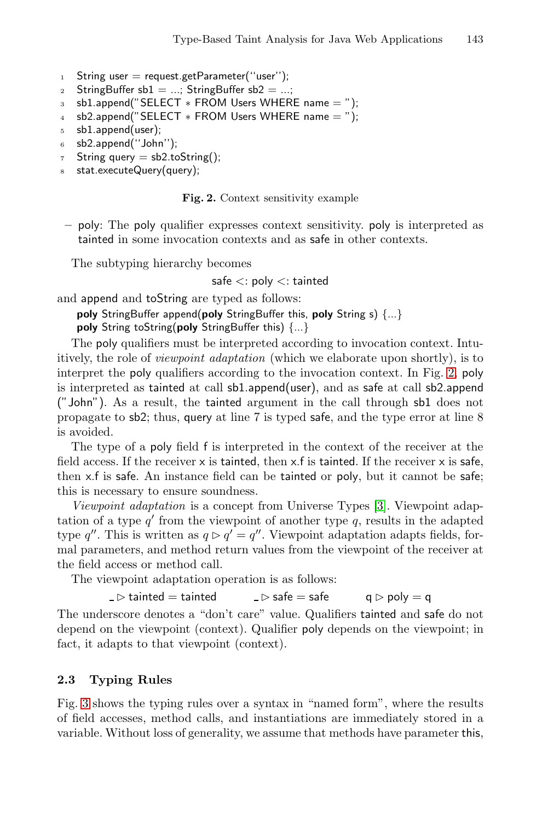- <span id="page-3-0"></span>1 String user  $=$  request.getParameter("user");
- 2 StringBuffer sb $1 = ...$ ; StringBuffer sb $2 = ...$ ;
- 3 sb1.append("SELECT  $*$  FROM Users WHERE name = ");<br>4 sb2 append("SELECT  $*$  FROM Users WHERE name − ");
- 4 sb2.append("SELECT  $*$  FROM Users WHERE name  $=$  ");<br>5 sb1 append(user):
- sb1.append(user);
- <sup>6</sup> sb2.append(''John'');
- 7 String query  $=$  sb2.toString();
- stat.executeQuery(query);

#### **Fig. 2.** Context sensitivity example

**–** poly: The poly qualifier expresses context sensitivity. poly is interpreted as tainted in some invocation contexts and as safe in other contexts.

The subtyping hierarchy becomes

### safe <: poly <: tainted

and append and toString are typed as follows:

**poly** StringBuffer append(**poly** StringBuffer this, **poly** String s) {...}

**poly** String toString(**poly** StringBuffer this) {...}

The poly qualifiers must be interpreted according to invocation context. Intuitively, the role of *viewpoint adaptation* (which we elaborate upon shortly), is to interpret the poly qualifiers according to the invocation context. In Fig. 2, poly is interpreted as tainted at call sb1.appen[d\(](#page-14-8)user), and as safe at call sb2.append ("John"). As a result, the tainted argument in the call through sb1 does not propagate to sb2; thus, query at line 7 is typed safe, and the type error at line 8 is avoided.

<span id="page-3-1"></span>The type of a poly field f is interpreted in the context of the receiver at the field access. If the receiver  $x$  is tainted, then  $x.f$  is tainted. If the receiver  $x$  is safe, then x.f is safe. An instance field can be tainted or poly, but it cannot be safe; this is necessary to ensure soundness.

*Viewpoint adaptation* is a concept from Universe Types [3]. Viewpoint adaptation of a type  $q'$  from the viewpoint of another type q, results in the adapted type q''. This is written as  $q \triangleright q' = q''$ . Viewpoint adaptation adapts fields, formal parameters, and method return values from the viewpoint of the receiver at the field access or method call.

The viewpoint adaptation operation is as follows:

$$
\_ \triangleright \mathsf{tainted} = \mathsf{tainted} \qquad \_ \triangleright \mathsf{safe} = \mathsf{safe} \qquad \mathsf{q} \triangleright \mathsf{poly} = \mathsf{q}
$$

The underscore denotes a "don't care" value. Qualifiers tainted and safe do not depend on the viewpoint (context). Qualifier poly depends on the viewpoint; in fact, it adapts to that viewpoint (context).

### **2.3 Typing Rules**

Fig. 3 shows the typing rules over a syntax in "named form", where the results of field accesses, method calls, and instantiations are immediately stored in a variable. Without loss of generality, we assume that methods have parameter this,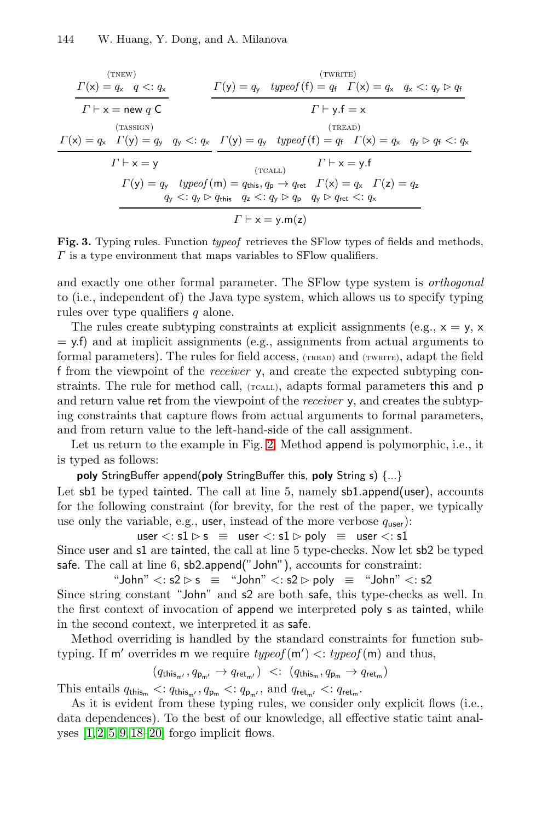<span id="page-4-0"></span>
$$
\begin{array}{c}\n(\text{TRUEW}) & (\text{TRUEW}) \\
\hline\n\Gamma(x) = q_x \quad q <: q_x \\
\hline\n\Gamma \vdash x = \text{new } q \mathrel{\mathbf{C}} \\
\hline\n\Gamma(x) = q_x \quad T(y) = q_y \quad q_y <: q_x \quad \Gamma(y) = q_y \quad \text{typeof (f)} = q_f \quad T(x) = q_x \quad q_y > q_f <: q_x \\
\hline\n\Gamma \vdash x = y & (\text{TERAD}) & (\text{TERAD}) \\
\hline\n\Gamma \vdash x = y & \Gamma \vdash x = y \cdot f \\
\hline\n\Gamma(y) = q_y \quad \text{typeof (m)} = q_{\text{this}}, q_p \rightarrow q_{\text{ret}} \quad T(x) = q_x \quad T(z) = q_z \\
\hline\n\alpha_y <: q_y > q_{\text{this}} \quad q_z <: q_y > q_p \quad q_y > q_{\text{ret}} <: q_x \\
\hline\n\Gamma \vdash x = y \cdot m(z) < \Gamma \vdash x = y \cdot m(z)\n\end{array}
$$

**Fig. 3.** Typing rules. Function *typeof* retrieves the SFlow types of fields and methods,  $\Gamma$  is a type environment that maps variables to SFlow qualifiers.

and exactly one other formal parameter. The SFlow type system is *orthogonal* to (i.e., independent of) the Java type system, which allows us to specify typing rules over type qualifiers  $q$  alone.

The rules create s[ub](#page-3-0)typing constraints at explicit assignments (e.g.,  $x = y$ , x  $=$  y.f) and at implicit assignments (e.g., assignments from actual arguments to formal parameters). The rules for field access,  $(r_{\text{READ}})$  and  $(r_{\text{WRTTE}})$ , adapt the field f from the viewpoint of the *receiver* y, and create the expected subtyping constraints. The rule for method call, (TCALL), adapts formal parameters this and p and return value ret from the viewpoint of the *receiver* y, and creates the subtyping constraints that capture flows from actual arguments to formal parameters, and from return value to the left-hand-side of the call assignment.

Let us return to the example in Fig. 2. Method append is polymorphic, i.e., it is typed as follows:

**poly** StringBuffer append(**poly** StringBuffer this, **poly** String s) {...}

Let sb1 be typed tainted. The call at line 5, namely sb1.append(user), accounts for the following constraint (for brevity, for the rest of the paper, we typically use only the variable, e.g., user, instead of the more verbose  $q_{user}$ :

 $user < : sl \triangleright s \equiv user < : sl \triangleright poly \equiv user < : sl$ Since user and s1 are tainted, the call at line 5 type-checks. Now let sb2 be typed safe. The call at line 6, sb2.append("John"), accounts for constraint:

"John"  $\langle : \mathsf{s2} \triangleright \mathsf{s} \equiv$  "John"  $\langle : \mathsf{s2} \triangleright \mathsf{poly} \equiv$  "John"  $\langle : \mathsf{s2} \rangle$ Since string constant "John" and s2 are both safe, this type-checks as well. In the first context of invocation of append we interpreted poly s as tainted, while [in](#page-14-5) the second context, we interpreted it as safe.

Method overriding is handled by the standard constraints for function subtyping. If  $m'$  overrides m we require  $typeof(m') \leq typeof(m)$  and thus,

$$
\big(q_{\mathrm{this}_{\mathrm{m}'}} ,q_{\mathrm{p}_{\mathrm{m}'}}\rightarrow q_{\mathrm{ret}_{\mathrm{m}'}}\big)\ <: \big(q_{\mathrm{this}_{\mathrm{m}}},q_{\mathrm{p}_{\mathrm{m}}}\rightarrow q_{\mathrm{ret}_{\mathrm{m}}}\big)
$$

This entails  $q_{\text{this}_m} <: q_{\text{this}_{m'}}, q_{\text{p}_m} <: q_{\text{p}_{m'}}, \text{ and } q_{\text{ret}_{m'}} <: q_{\text{ret}_{m}}.$ 

As it is evident from these typing rules, we consider only explicit flows (i.e., data dependences). To the best of our knowledge, all effective static taint analyses  $[1, 2, 5, 9, 18-20]$  forgo implicit flows.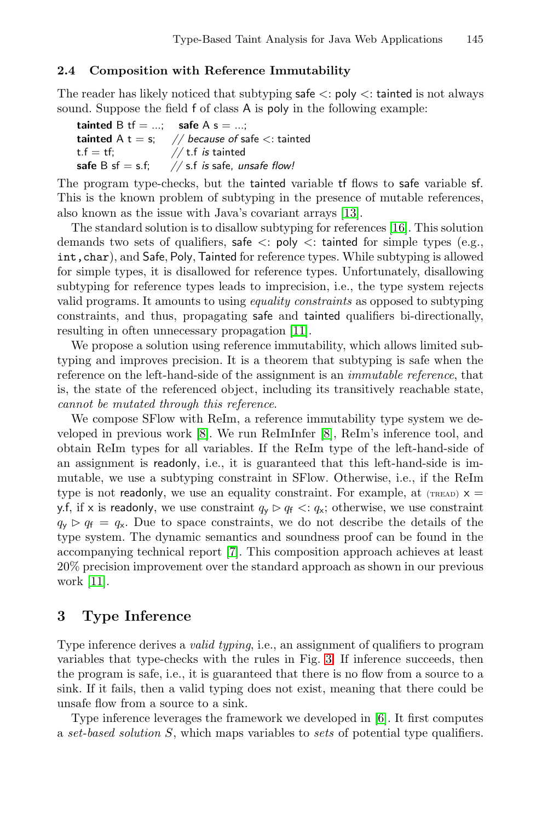#### <span id="page-5-1"></span>**2.4 Composition with Reference Immutability**

The reader has likely noticed that s[ubt](#page-14-9)yping safe  $\lt$ : poly  $\lt$ : tainted is not always sound. Suppose the field f of class A is poly [in t](#page-14-10)he following example:

**tainted** B tf = ...; **safe** A **s** = ...;<br>**tainted** A **t** = **s**; // *because of sall* // because of safe <: tainted  $t.f = tf$ ;  $// t.f is tainted$ safe B sf = s.f;  $//$  s.f *is* safe, *unsafe flow!* 

The program type-checks, but the tainted variable tf flows to safe variable sf. This is the known problem of subtyping in the presence of mutable references, also known as the issue w[ith](#page-14-11) Java's covariant arrays [13].

The standard solution is to disallow subtyping for references [16]. This solution demands two sets of qualifiers, safe  $\lt$ : poly  $\lt$ : tainted for simple types (e.g., int, char), and Safe, Poly, Tainted for reference types. While subtyping is allowed for simple types, it is disallowed for reference types. Unfortunately, disallowing subtyping for reference types leads to imprecision, i.e., the type system rejects valid programs. It amounts to using *equality constraints* as opposed to subtyping constrai[nt](#page-14-7)s, and thus, propaga[tin](#page-14-7)g safe and tainted qualifiers bi-directionally, resulting in often unnecessary propagation [11].

We propose a solution using reference immutability, which allows limited subtyping and improves precision. It is a theorem that subtyping is safe when the reference on the left-hand-side of the assignment is an *immutable reference*, that is, the state of the referenced object, including its transitively reachable state, *cannot be mutated through this reference*.

<span id="page-5-0"></span>We compose SFlow with ReIm, a reference immutability type system we developed in pr[evi](#page-14-12)ous work [8]. We run ReImInfer [8], ReIm's inference tool, and obtain ReIm types for all variables. If the ReIm type of the left-hand-side of an assignment is readonly, i.e., it is guaranteed that this left-hand-side is immutable, we use a subtyping constraint in SFlow. Otherwise, i.e., if the ReIm type is not readonly, we use an equality constraint. For example, at  $(r_{\text{READ}}) \times$ y.f, if x is readonly, we use constraint  $q_y \triangleright q_f \lt: q_x$ ; otherwise, we use constraint  $q_{y} \triangleright q_{f} = q_{x}$ . Due to space constraints, we do not describe the details of the type system. The dynamic semantics and soundness proof can be found in the accompanying technical report [\[7\]](#page-4-0). This composition approach achieves at least 20% precision improvement over the standard approach as shown in our previous work [11].

# **3 Type Inference**

Type inference derives a *valid typing*, i.e., an assignment of qualifiers to program variables that type-checks with the rules in Fig. 3. If inference succeeds, then the program is safe, i.e., it is guaranteed that there is no flow from a source to a sink. If it fails, then a valid typing does not exist, meaning that there could be unsafe flow from a source to a sink.

Type inference leverages the framework we developed in [6]. It first computes a *set-based solution* S, which maps variables to *sets* of potential type qualifiers.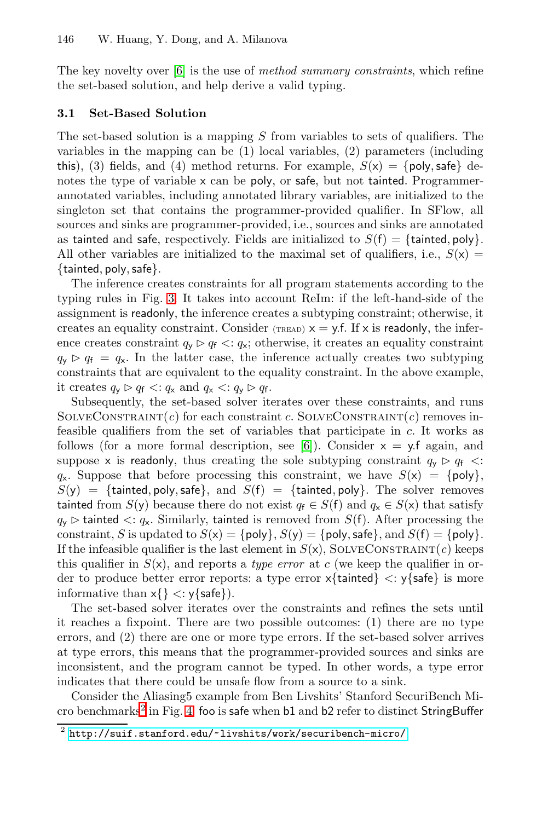The key novelty over [6] is the use of *method summary constraints*, which refine the set-based solution, and help derive a valid typing.

### **3.1 Set-Based Solution**

The set-based solution is a mapping  $S$  from variables to sets of qualifiers. The variables in the mapping can be (1) local variables, (2) parameters (including this), (3) fields, and (4) method returns. For example,  $S(x) = \{ \text{poly}, \text{safe} \}$  deno[te](#page-4-0)s the type of variable  $x$  can be poly, or safe, but not tainted. Programmerannotated variables, including annotated library variables, are initialized to the singleton set that contains the programmer-provided qualifier. In SFlow, all sources and sinks are programmer-provided, i.e., sources and sinks are annotated as tainted and safe, respectively. Fields are initialized to  $S(f) = \{\text{tainted}, \text{poly}\}\$ . All other variables are initialized to the maximal set of qualifiers, i.e.,  $S(x)$  = {tainted, poly,safe}.

The inference creates constraints for all program statements according to the typing rules in Fig. 3. It takes into account ReIm: if the left-hand-side of the assignment is readonly, the inference creates a subtyping constraint; otherwise, it creates an equality constrai[nt](#page-14-6). Consider (TREAD)  $x = y$ . If x is readonly, the inference creates constraint  $q_y \triangleright q_f \lt: q_x$ ; otherwise, it creates an equality constraint  $q_{y} \geq q_{f} = q_{x}$ . In the latter case, the inference actually creates two subtyping constraints that are equivalent to the equality constraint. In the above example, it creates  $q_{y} \triangleright q_{f} \lt: q_{x}$  and  $q_{x} \lt: q_{y} \triangleright q_{f}$ .

Subsequently, the set-based solver iterates over these constraints, and runs  $SOLVE,TrAINT(c)$  for each constraint c.  $SOLVE,TrAINT(c)$  removes infeasible qualifiers from the set of variables that participate in c. It works as follows (for a more formal description, see [6]). Consider  $x = y$  f again, and suppose x is readonly, thus creating the sole subtyping constraint  $q_y \triangleright q_f$  <:  $q_x$ . Suppose that before processing this constraint, we have  $S(x) = \{ \text{poly} \},\$  $S(y) = {tainted, poly, safe}, and S(f) = {tainted, poly}. The solver removes$ tainted from  $S(y)$  because there do not exist  $q_f \in S(f)$  and  $q_x \in S(x)$  that satisfy  $q_{y}$   $\triangleright$  tainted  $\lt:$   $q_{x}$ . Similarly, tainted is removed from  $S({\sf f})$ . After processing the constraint, S is updated to  $S(x) = \{\text{poly}\}, S(y) = \{\text{poly}, \text{safe}\}, \text{and } S(f) = \{\text{poly}\}.$ If the infeasible qualifier is the last element in  $S(x)$ , SOLVECONSTRAINT(*c*) keeps this qualifier in  $S(x)$ , and reports a *type error* at c (we keep the qualifier in order to produce better error reports: a type error  $x$ {tainted}  $\langle : y$  {safe} is more infor[ma](#page-7-0)tive than  $x\{\} \langle y\{\text{safe}\}\rangle$ .

The set-based solver iterates over the constraints and refines the sets until [it reaches a fixpoint. There are two possible o](http://suif.stanford.edu/~livshits/work/securibench-micro/)utcomes: (1) there are no type errors, and (2) there are one or more type errors. If the set-based solver arrives at type errors, this means that the programmer-provided sources and sinks are inconsistent, and the program cannot be typed. In other words, a type error indicates that there could be unsafe flow from a source to a sink.

Consider the Aliasing5 example from Ben Livshits' Stanford SecuriBench Micro benchmarks<sup>2</sup> in Fig. 4. foo is safe when  $b1$  and  $b2$  refer to distinct StringBuffer

 $^{2}$  http://suif.stanford.edu/~livshits/work/securibench-micro/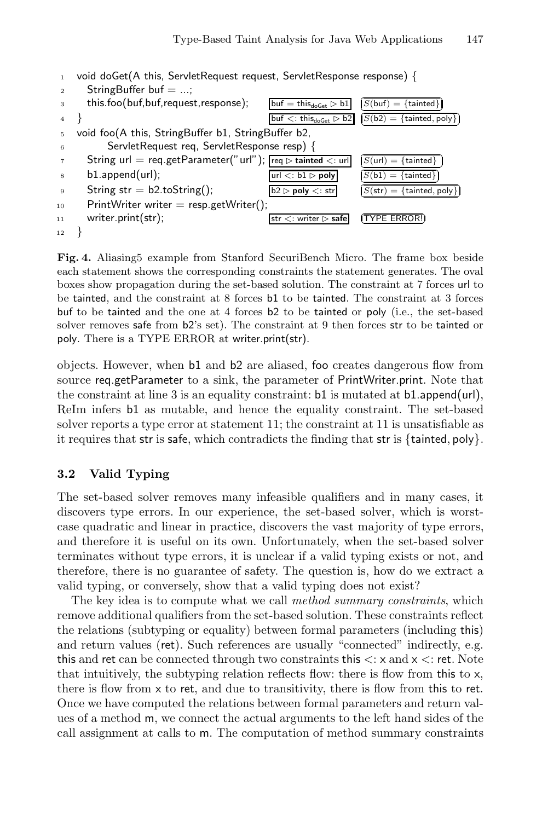

<span id="page-7-0"></span>**Fig. 4.** Aliasing5 example from Stanford SecuriBench Micro. The frame box beside each statement shows the corresponding constraints the statement generates. The oval boxes show propagation during the set-based solution. The constraint at 7 forces url to be tainted, and the constraint at 8 forces b1 to be tainted. The constraint at 3 forces buf to be tainted and the one at 4 forces b2 to be tainted or poly (i.e., the set-based solver removes safe from b2's set). The constraint at 9 then forces str to be tainted or poly. There is a TYPE ERROR at writer.print(str).

objects. However, when b1 and b2 are aliased, foo creates dangerous flow from source req.getParameter to a sink, the parameter of PrintWriter.print. Note that the constraint at line 3 is an equality constraint: b1 is mutated at b1.append(url), ReIm infers b1 as mutable, and hence the equality constraint. The set-based solver reports a type error at statement 11; the constraint at 11 is unsatisfiable as it requires that str is safe, which contradicts the finding that str is {tainted, poly}.

### **3.2 Valid Typing**

The set-based solver removes many infeasible qualifiers and in many cases, it discovers type errors. In our experience, the set-based solver, which is worstcase quadratic and linear in practice, discovers the vast majority of type errors, and therefore it is useful on its own. Unfortunately, when the set-based solver terminates without type errors, it is unclear if a valid typing exists or not, and therefore, there is no guarantee of safety. The question is, how do we extract a valid typing, or conversely, show that a valid typing does not exist?

The key idea is to compute what we call *method summary constraints*, which remove additional qualifiers from the set-based solution. These constraints reflect the relations (subtyping or equality) between formal parameters (including this) and return values (ret). Such references are usually "connected" indirectly, e.g. this and ret can be connected through two constraints this  $\lt: x$  and  $x \lt:$  ret. Note that intuitively, the subtyping relation reflects flow: there is flow from this to x, there is flow from x to ret, and due to transitivity, there is flow from this to ret. Once we have computed the relations between formal parameters and return values of a method m, we connect the actual arguments to the left hand sides of the call assignment at calls to m. The computation of method summary constraints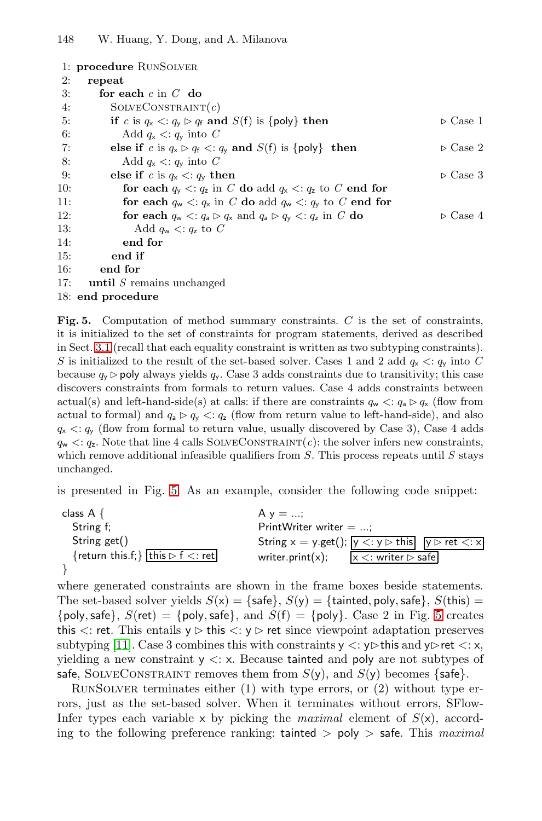<span id="page-8-0"></span>1: **procedure** RunSolver 2: **repeat** 3: **for each** *c* in *C* **do** 4: SolveConstraint(*c*) 5: **if**  $c$  is  $q_x < q_y \triangleright q_f$  **and**  $S(f)$  is {poly} **then**  $\triangleright$  Case 1 6: Add  $q_{\times}$  <:  $q_{\text{y}}$  into *C* 7: **else if**  $c$  is  $q_x \triangleright q_f \lt: q_y$  **and**  $S(f)$  is {poly} **then**  $\triangleright \text{Case 2}$ 8: Add  $q_{\times} <: q_{\text{y}}$  into *C* 9: **else if** *c* is  $q_x < q_y$  **then**  $\triangleright$  Case 3 10: **for each**  $q_y < q_z$  in *C* **do** add  $q_x < q_z$  to *C* **end for** 11: **for each**  $q_w < q_x$  in *C* **do** add  $q_w < q_y$  to *C* **end for** 12: **for each**  $q_w <: q_a > q_x$  and  $q_a > q_y <: q_z$  in *C* **do**  $\triangleright$  Case 4 13: Add  $q_w <: q_z$  to  $C$ 14: **end for** 15: **end if** 16: **end for** 17: **until** *S* remains unchanged 18: **end procedure**

**Fig. 5.** Computation of method summary constraints. C is the set of constraints, it is initialized to the set of constraints for program statements, derived as described in Sect. 3.1 (recall that each equality constraint is written as two subtyping constraints). S is initialized to the result of the set-based solver. Cases 1 and 2 add  $q_{\rm x} < q_{\rm y}$  into C bec[au](#page-8-0)se  $q_y \triangleright$  poly always yields  $q_y$ . Case 3 adds constraints due to transitivity; this case discovers constraints from formals to return values. Case 4 adds constraints between actual(s) and left-hand-side(s) at calls: if there are constraints  $q_w < q_a > q_x$  (flow from actual to formal) and  $q_a \triangleright q_y \preceq: q_z$  (flow from return value to left-hand-side), and also  $q_{\rm x}$  <:  $q_{\rm y}$  (flow from formal to return value, usually discovered by Case 3), Case 4 adds  $q_w <: q_z$ . Note that line 4 calls SOLVECONSTRAINT(*c*): the solver infers new constraints, which remove additional infeasible qualifiers from S. This process repeats until *S* stays unchanged.

is presented in Fig. 5. As an example, consider the following code snippet:

| class $A \{$                                          | $A v = $                                                        |
|-------------------------------------------------------|-----------------------------------------------------------------|
| String f:                                             | PrintWriter writer $= \dots$ ;                                  |
| String get()                                          | String $x = y.get()$ ; $y \le y \ge this$ $y \ge ret \le x$     |
| {return this f; } this $\triangleright$ f $\lt$ : ret | $x \leq$ : writer $\triangleright$ safe<br>writer.print $(x)$ ; |
|                                                       |                                                                 |

where generated constraints are shown in the frame boxes beside statements. The set-based solver yields  $S(x) = \{\text{safe}\}, S(y) = \{\text{tainted}, \text{poly}, \text{safe}\}, S(\text{this}) =$  ${poly, safe}, S(ret) = {poly, safe}, and S(f) = {poly}. Case 2 in Fig. 5 creates$ this  $\lt:$  ret. This entails  $y \rhd \mathsf{this} \lt: y \rhd \mathsf{ret}$  since viewpoint adaptation preserves  $\text{subtyping [11]}. \text{Case 3 combines this with constraints } \mathsf{y} <: \mathsf{y} \rhd \mathsf{this} \text{ and } \mathsf{y} \rhd \mathsf{ret} <: \mathsf{x},$ yielding a new constraint  $y \le x$ . Because tainted and poly are not subtypes of safe, SOLVECONSTRAINT removes them from  $S(y)$ , and  $S(y)$  becomes {safe}.

RUNSOLVER terminates either  $(1)$  with type errors, or  $(2)$  without type errors, just as the set-based solver. When it terminates without errors, SFlow-Infer types each variable x by picking the *maximal* element of  $S(x)$ , according to the following preference ranking: tainted > poly > safe. This *maximal*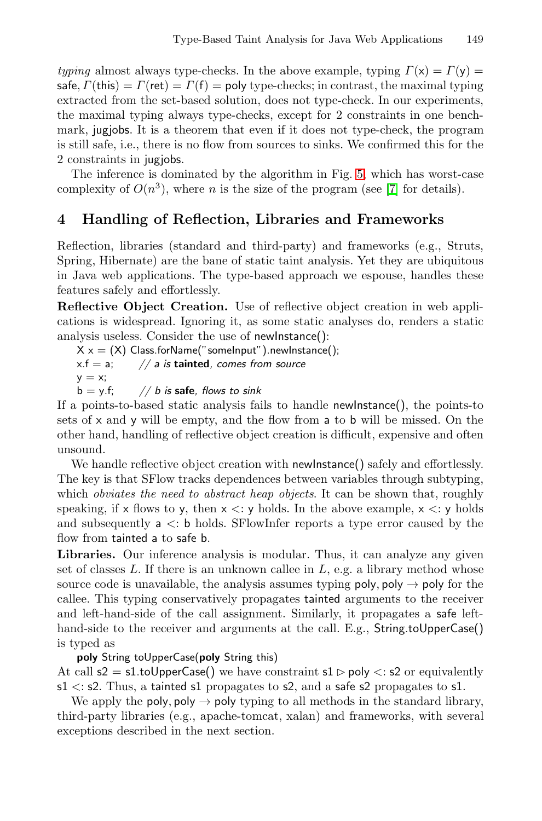<span id="page-9-0"></span>*typing* almost always type-checks. In [th](#page-8-0)e a[bov](#page-14-12)e example, typing  $\Gamma(x) = \Gamma(y)$ safe,  $\Gamma(\text{this}) = \Gamma(\text{ret}) = \Gamma(f) = \text{poly type-checks; in contrast, the maximal typing}$ extracted from the set-based solution, does not type-check. In our experiments, the maximal typing always type-checks, except for 2 constraints in one benchmark, jugjobs. It is a theorem that even if it does not type-check, the program is still safe, i.e., there is no flow from sources to sinks. We confirmed this for the 2 constraints in jugjobs.

The inference is dominated by the algorithm in Fig. 5, which has worst-case complexity of  $O(n^3)$ , where *n* is the size of the program (see [7] for details).

## **4 Handling of Reflection, Libraries and Frameworks**

Reflection, libraries (standard and third-party) and frameworks (e.g., Struts, Spring, Hibernate) are the bane of static taint analysis. Yet they are ubiquitous in Java web applications. The type-based approach we espouse, handles these features safely and effortlessly.

**Reflective Object Creation.** Use of reflective object creation in web applications is widespread. Ignoring it, as some static analyses do, renders a static analysis useless. Consider the use of newInstance():

<span id="page-9-1"></span> $X x = (X)$  Class.forName("someInput").newInstance(); x.f = a; *// a is* **tainted***, comes from source*  $y = x;$  $b = y.f;$  // *b is safe*, *flows to sink* 

If a points-to-based static analysis fails to handle newInstance(), the points-to sets of  $x$  and  $y$  will be empty, and the flow from a to b will be missed. On the other hand, handling of reflective object creation is difficult, expensive and often unsound.

We handle reflective object creation with newInstance() safely and effortlessly. The key is that SFlow tracks dependences between variables through subtyping, which *obviates the need to abstract heap objects*. It can be shown that, roughly speaking, if x flows to y, then  $x \le y$  holds. In the above example,  $x \le y$  holds and subsequently  $a \le b$  holds. SFlowInfer reports a type error caused by the flow from tainted a to safe b.

Libraries. Our inference analysis is modular. Thus, it can analyze any given set of classes  $L$ . If there is an unknown callee in  $L$ , e.g. a library method whose source code is unavailable, the analysis assumes typing poly, poly  $\rightarrow$  poly for the callee. This typing conservatively propagates tainted arguments to the receiver and left-hand-side of the call assignment. Similarly, it propagates a safe lefthand-side to the receiver and arguments at the call. E.g., String.toUpperCase() is typed as

**poly** String toUpperCase(**poly** String this)

At call  $s2 = s1$  toUpperCase() we have constraint  $s1 \rhd$  poly  $<: s2$  or equivalently s1 <: s2. Thus, a tainted s1 propagates to s2, and a safe s2 propagates to s1.

We apply the poly, poly  $\rightarrow$  poly typing to all methods in the standard library, third-party libraries (e.g., apache-tomcat, xalan) and frameworks, with several exceptions described in the next section.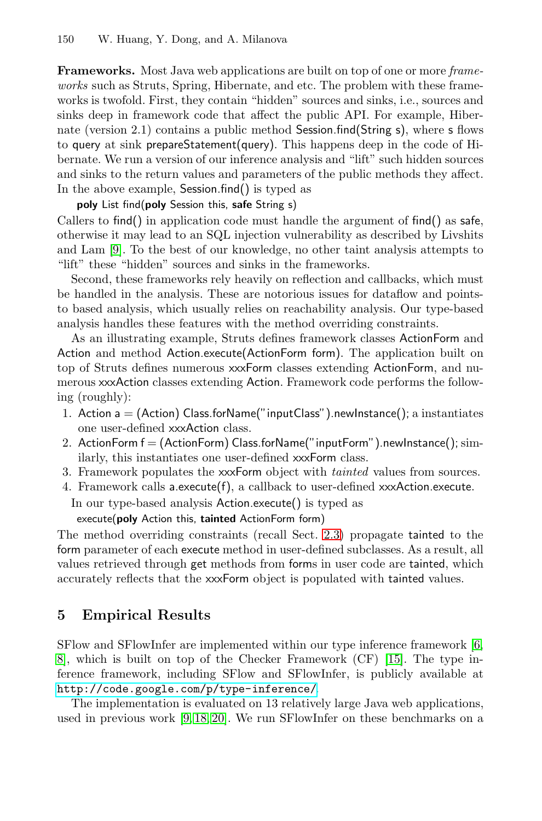**Frameworks.** Most Java web applications are built on top of one or more *frameworks* such as Struts, Spring, Hibernate, and etc. The problem with these frameworks is twofold. First, they contain "hidden" sources and sinks, i.e., sources and sinks deep in framework code that affect the public API. For example, Hibernate (version 2.1) contains a public method Session.find(String s), where s flows to query at sink prepareStatement(query). This happens deep in the code of Hibernate. We run a version of our inference analysis and "lift" such hidden sources and sinks to the return values and parameters of the public methods they affect. In the above example, Session.find() is typed as

### **poly** List find(**poly** Session this, **safe** String s)

Callers to find() in application code must handle the argument of find() as safe, otherwise it may lead to an SQL injection vulnerability as described by Livshits and Lam [9]. To the best of our knowledge, no other taint analysis attempts to "lift" these "hidden" sources and sinks in the frameworks.

Second, these frameworks rely heavily on reflection and callbacks, which must be handled in the analysis. These are notorious issues for dataflow and pointsto based analysis, which usually relies on reachability analysis. Our type-based analysis handles these features with the method overriding constraints.

As an illustrating example, Struts defines framework classes ActionForm and Action and method Action.execute(ActionForm form). The application built on top of Struts defines numerous xxxForm classes extending ActionForm, and numerous xxxAction classes extending Action. Framework code performs the following (roughly):

- <span id="page-10-0"></span>1. Action  $a = (Action) Class-forName("inputClass")$ .newInstance $()$ ; a instantiates one user-defined xxxAction [class](#page-3-1).
- 2. ActionForm  $f = (ActionForm)$  Class.forName("inputForm").newInstance(); similarly, this instantiates one user-defined xxxForm class.
- 3. Framework populates the xxxForm object with *tainted* values from sources.

4. Framework calls a.execute(f), a callback to user-defined xxxAction.execute.

In our type-based analysis Action.execute() is typed as

execute(**poly** Action this, **tainted** ActionForm form)

The method overriding constraints (recall Sect. 2.3) prop[ag](#page-14-6)ate tainted to the form parameter of each execute method in u[ser-](#page-14-13)defined subclasses. As a result, all values retrieved through get methods from forms in user code are tainted, which [accurately reflects that the](http://code.google.com/p/type-inference/) xxxForm object is populated with tainted values.

### **5 [E](#page-14-1)[mp](#page-14-4)[iri](#page-14-5)cal Results**

SFlow and SFlowInfer are implemented within our type inference framework [6, 8], which is built on top of the Checker Framework (CF) [15]. The type inference framework, including SFlow and SFlowInfer, is publicly available at http://code.google.com/p/type-inference/.

The implementation is evaluated on 13 relatively large Java web applications, used in previous work [9, 18, 20]. We run SFlowInfer on these benchmarks on a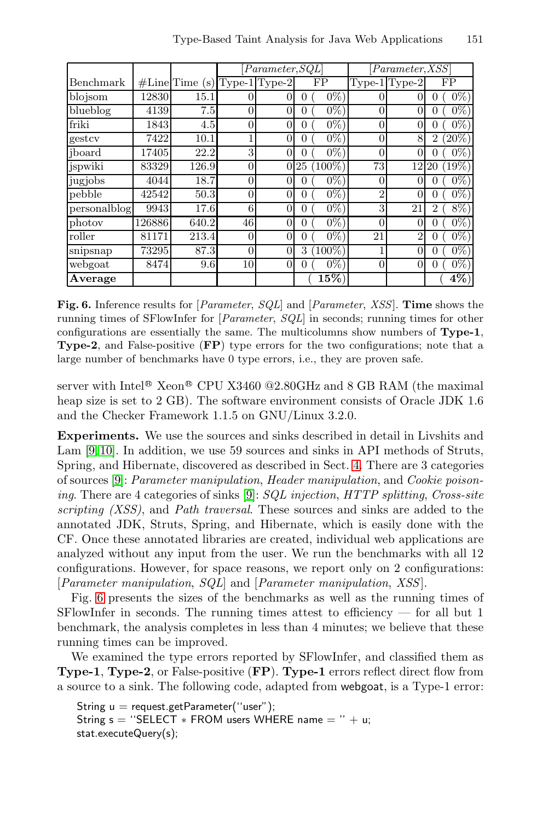| Type-Based Taint Analysis for Java Web Applications | 151 |
|-----------------------------------------------------|-----|
|-----------------------------------------------------|-----|

|                                   |        |                            | Parameter, SOL |          | Parameter, XSS            |                |                |                            |
|-----------------------------------|--------|----------------------------|----------------|----------|---------------------------|----------------|----------------|----------------------------|
| Benchmark                         |        | $\#\text{Line}$ Time $(s)$ | Type-1 Type-2  |          | FP                        | Type-1 Type-2  |                | FP                         |
| blojsom                           | 12830  | 15.1                       | $^{(1)}$       | 0        | $0\%$ )<br>0              | 0              | 0              | $0\%$<br>$\theta$          |
| $\overline{\text{blue}}$ blueblog | 4139   | 7.5                        | $\overline{0}$ | 0        | $0\%$ )<br>$\overline{0}$ | 0              | $\theta$       | $0\%$<br>0                 |
| friki                             | 1843   | 4.5                        | 0              | $\Omega$ | $0\%$<br>$\theta$         | 0              | 0              | $0\%$<br>0                 |
| gestcv                            | 7422   | 10.1                       |                | 0        | $0\%$ )<br>0              | 0              | 8              | $(20\%)$<br>$\overline{2}$ |
| iboard                            | 17405  | 22.2                       | 3              | $\Omega$ | $0\%$<br>$\Omega$         | 0              | $\Omega$       | $0\%$<br>0                 |
| jspwiki                           | 83329  | 126.9                      | 0              | $\Omega$ | $(100\%)$<br>25           | 73             | 12             | (19%<br>20                 |
| jugjobs                           | 4044   | 18.7                       | $\overline{0}$ | 0        | $0\%$<br>$\theta$         | 0              | $\Omega$       | $0\%$<br>0                 |
| pebble                            | 42542  | 50.3                       | $\overline{0}$ | $\Omega$ | $0\%$<br>0                | $\overline{2}$ | $\theta$       | $0\%$<br>0                 |
| personalblog                      | 9943   | 17.6                       | 6              | $\Omega$ | $0\%$ )<br>$\overline{0}$ | 3              | 21             | $8\%$<br>$\overline{2}$    |
| photov                            | 126886 | 640.2                      | 46             | 0        | $0\%$<br>$\theta$         | $\overline{0}$ | $\theta$       | $0\%$<br>$\theta$          |
| roller                            | 81171  | 213.4                      | $\Omega$       | $\theta$ | $0\%$<br>$\theta$         | 21             | $\overline{2}$ | $0\%$<br>$\Omega$          |
| snipsnap                          | 73295  | 87.3                       | $\Omega$       | $\Omega$ | $^{\prime}100\%)$<br>3    |                | 0              | $0\%$<br>$\theta$          |
| webgoat                           | 8474   | 9.6                        | 10             | $\Omega$ | $0\%$<br>O                | $\overline{0}$ | $\theta$       | $0\%$<br>0                 |
| Average                           |        |                            |                |          | $15\%$                    |                |                | $4\%$                      |

**Fig. 6.** Inference results for [*Parameter*, *SQL*] and [*Parameter*, *XSS*]. **Time** shows the running times of SFlowInfer for [*Parameter*, *SQL*] in seconds; running times for other configurations are essentially the same. The multicolumns show numbers of **Type-1**, **Type-2**, and False-positive (**FP**) type errors for the two configurations; note that a large number of benchmarks have 0 typ[e](#page-9-0) [e](#page-9-0)rrors, i.e., they are proven safe.

server with Intel® Xeon® CPU X3460 @2.80GHz and 8 GB RAM (the maximal heap size is set to 2 GB). The software environment consists of Oracle JDK 1.6 and the Checker Framework 1.1.5 on GNU/Linux 3.2.0.

**Experiments.** We use the sources and sinks described in detail in Livshits and Lam [9, 10]. In addition, we use 59 sources and sinks in API methods of Struts, Spring, and Hibernate, discovered as described in Sect. 4. There are 3 categories of sources [9]: *Parameter manipulation*, *Header manipulation*, and *Cookie poisoning*. There are 4 categories of sinks [9]: *SQL injection*, *HTTP splitting*, *Cross-site scripting (XSS)*, and *Path traversal*. These sources and sinks are added to the annotated JDK, Struts, Spring, and Hibernate, which is easily done with the CF. Once these annotated libraries are created, individual web applications are analyzed without any input from the user. We run the benchmarks with all 12 configurations. However, for space reasons, we report only on 2 configurations: [*Parameter manipulation*, *SQL*] and [*Parameter manipulation*, *XSS*].

Fig. 6 presents the sizes of the benchmarks as well as the running times of SFlowInfer in seconds. The running times attest to efficiency — for all but  $1$ benchmark, the analysis completes in less than 4 minutes; we believe that these running times can be improved.

We examined the type errors reported by SFlowInfer, and classified them as **Type-1**, **Type-2**, or False-positive (**FP**). **Type-1** errors reflect direct flow from a source to a sink. The following code, adapted from webgoat, is a Type-1 error:

String  $u =$  request.getParameter("user");

String  $s =$  "SELECT  $*$  FROM users WHERE name  $=$  " $+$  u; stat.executeQuery(s);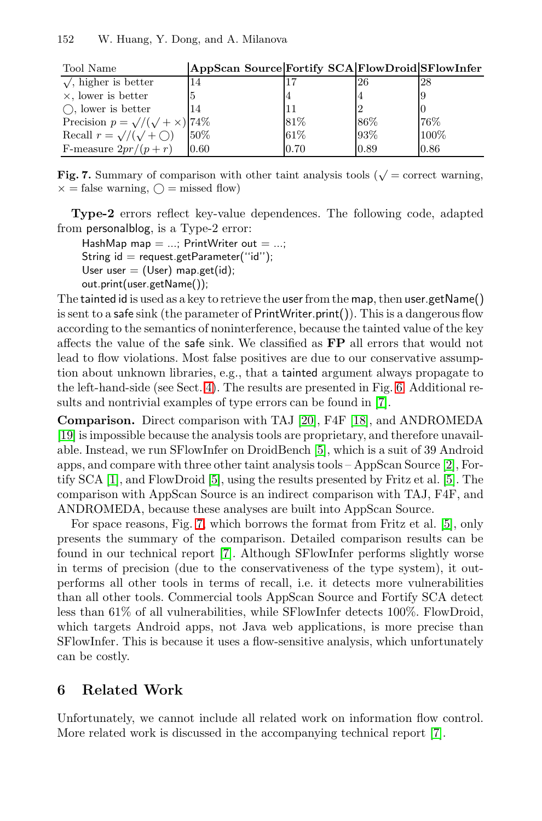<span id="page-12-1"></span>

| Tool Name                                     | AppScan Source Fortify SCA FlowDroid SFlowInfer |      |        |      |
|-----------------------------------------------|-------------------------------------------------|------|--------|------|
| $\sqrt{ }$ , higher is better                 | 14                                              |      | 26     | 28   |
| $\times$ , lower is better                    |                                                 |      |        |      |
| $\bigcirc$ , lower is better                  |                                                 |      |        |      |
| Precision $p = \sqrt{(\sqrt{+} \times) 74\%}$ |                                                 | 81%  | 86%    | 76%  |
| Recall $r = \sqrt{(\sqrt{+\bigcirc})}$        | 50%                                             | 61\% | $93\%$ | 100% |
| F-measure $2pr/(p+r)$                         | 0.60                                            | 0.70 | 0.89   | 0.86 |

**Fig. 7.** Summary of comparison with other taint analysis tools ( $\sqrt{\ }$  = correct warning,  $x =$  false warning,  $\bigcap$  = missed flow)

**Type-2** errors reflect key-value dependences. The following code, adapted from personalblog, is a Type-2 error:

HashMap map  $=$  ...; PrintWriter out  $=$  ...; String  $id = request.getParameter('id');$ User [use](#page-9-1)r  $=$  (User) map.get(id); out.print(user.getName());

The tainted id is [us](#page-14-12)ed as a key to retrieve the user from the map, then user.getName() is sent to a safe sink (the par[am](#page-14-5)eter of [Prin](#page-14-4)tWriter.print()). This is a dangerous flow according to the semantics of noninterference, because the tainted value of the key affects the value of the safe si[nk](#page-14-3). We classified as **FP** all errors that would not lead to flow violations. Most false positives are due to [ou](#page-14-14)r conservative assumption about [u](#page-14-3)nknown libraries, e.g., that a tainted argu[me](#page-14-3)nt always propagate to the left-hand-side (see Sect. 4). The results are presented in Fig. 6. Additional results an[d](#page-12-1) nontrivial examples of type errors can be fou[nd](#page-14-3) in [7].

<span id="page-12-0"></span>**Comparison.** Direct comparison with TAJ [20], F4F [18], and ANDROMEDA [19] is impos[sib](#page-14-12)le because the analysis tools are proprietary, and therefore unavailable. Instead, we run SFlowInfer on DroidBench [5], which is a suit of 39 Android apps, and compare with three other taint analysis tools – AppScan Source [2], Fortify SCA [1], and FlowDroid [5], using the results presented by Fritz et al. [5]. The comparison with AppScan Source is an indirect comparison with TAJ, F4F, and ANDROMEDA, because these analyses are built into AppScan Source.

For space reasons, Fig. 7, which borrows the format from Fritz et al. [5], only presents the summary of the comparison. Detailed comparison results can be found in our technical report [7]. Although SFlowInfer performs slightly worse in terms of precision (due to the conservativeness of the type system), it outperforms all other tools in terms of recall, i.e. it detects more vulnerabilities than all other tools. Commercial tools AppScan Source and Fortify SCA detect less than 61% of all vulnerabilities, while SFlowInfer detects 100%. FlowDroid, which targets Android apps, not Java web applic[ati](#page-14-12)ons, is more precise than SFlowInfer. This is because it uses a flow-sensitive analysis, which unfortunately can be costly.

# **6 Related Work**

Unfortunately, we cannot include all related work on information flow control. More related work is discussed in the accompanying technical report [7].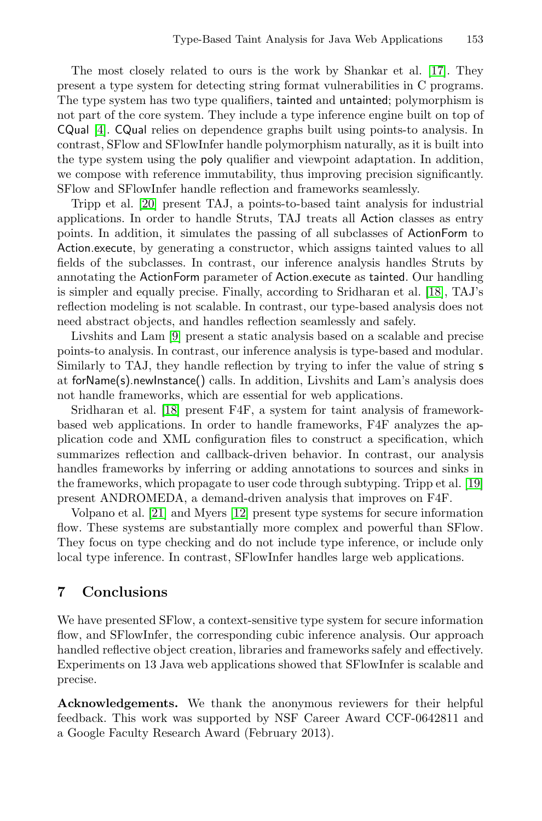The most closely related to ours is the work by Shankar et al. [17]. They [p](#page-14-5)resent a type system for detecting string format vulnerabilities in C programs. The type system has two type qualifiers, tainted and untainted; polymorphism is not part of the core system. They include a type inference engine built on top of CQual [4]. CQual relies on dependence graphs built using points-to analysis. In contrast, SFlow and SFlowInfer handle polymorphism naturally, as it is built into the type system using the poly qualifier and viewpoint adaptation. In addition, we compose with reference immutability, thus imp[rovi](#page-14-4)ng precision significantly. SFlow and SFlowInfer handle reflection and frameworks seamlessly.

Tripp et al. [20] present TAJ, a points-to-based taint analysis for industrial ap[plic](#page-14-1)ations. In order to handle Struts, TAJ treats all Action classes as entry points. In addition, it simulates the passing of all subclasses of ActionForm to Action.execute, by generating a constructor, which assigns tainted values to all fields of the subclasses. In contrast, our inference analysis handles Struts by annotating the ActionForm parameter of Action.execute as tainted. Our handling is [sim](#page-14-4)pler and equally precise. Finally, according to Sridharan et al. [18], TAJ's reflection modeling is not scalable. In contrast, our type-based analysis does not need abstract objects, and handles reflection seamlessly and safely.

<span id="page-13-0"></span>Livshits and Lam [9] present a static analysis based on a scalable and precise points-to analysis. In contrast, our inference analysis is type-based and modular. Similarly to TAJ, they handle reflection by trying to infe[r th](#page-14-15)e value of string s at forName(s).newInstance() calls. In addition, Livshits and Lam's analysis does [no](#page-14-16)t handle fra[mew](#page-14-17)orks, which are essential for web applications.

Sridharan et al. [18] present F4F, a system for taint analysis of frameworkbased web applications. In order to handle frameworks, F4F analyzes the application code and XML configuration files to construct a specification, which summarizes reflection and callback-driven behavior. In contrast, our analysis handles frameworks by inferring or adding annotations to sources and sinks in the frameworks, which propagate to user code through subtyping. Tripp et al. [19] present ANDROMEDA, a demand-driven analysis that improves on F4F.

Volpano et al. [21] and Myers [12] present type systems for secure information flow. These systems are substantially more complex and powerful than SFlow. They focus on type checking and do not include type inference, or include only local type inference. In contrast, SFlowInfer handles large web applications.

# **7 Conclusions**

We have presented SFlow, a context-sensitive type system for secure information flow, and SFlowInfer, the corresponding cubic inference analysis. Our approach handled reflective object creation, libraries and frameworks safely and effectively. Experiments on 13 Java web applications showed that SFlowInfer is scalable and precise.

**Acknowledgements.** We thank the anonymous reviewers for their helpful feedback. This work was supported by NSF Career Award CCF-0642811 and a Google Faculty Research Award (February 2013).